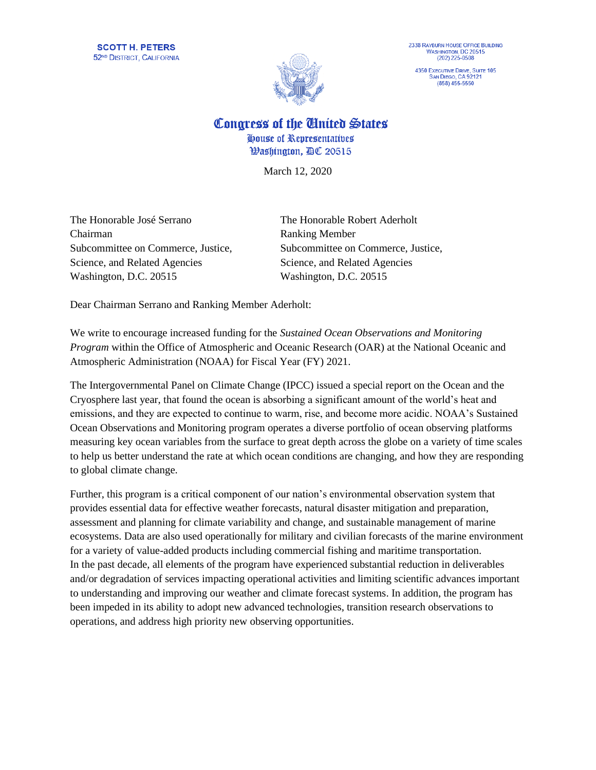

4350 EXECUTIVE DRIVE, SUITE 105 SAN DIEGO, CA 92121

Congress of the Cinited States

House of Representatives **Washington, AC 20515** 

March 12, 2020

The Honorable José Serrano The Honorable Robert Aderholt Chairman Ranking Member Subcommittee on Commerce, Justice, Subcommittee on Commerce, Justice, Science, and Related Agencies Science, and Related Agencies Washington, D.C. 20515 Washington, D.C. 20515

Dear Chairman Serrano and Ranking Member Aderholt:

We write to encourage increased funding for the *Sustained Ocean Observations and Monitoring Program* within the Office of Atmospheric and Oceanic Research (OAR) at the National Oceanic and Atmospheric Administration (NOAA) for Fiscal Year (FY) 2021.

The Intergovernmental Panel on Climate Change (IPCC) issued a special report on the Ocean and the Cryosphere last year, that found the ocean is absorbing a significant amount of the world's heat and emissions, and they are expected to continue to warm, rise, and become more acidic. NOAA's Sustained Ocean Observations and Monitoring program operates a diverse portfolio of ocean observing platforms measuring key ocean variables from the surface to great depth across the globe on a variety of time scales to help us better understand the rate at which ocean conditions are changing, and how they are responding to global climate change.

Further, this program is a critical component of our nation's environmental observation system that provides essential data for effective weather forecasts, natural disaster mitigation and preparation, assessment and planning for climate variability and change, and sustainable management of marine ecosystems. Data are also used operationally for military and civilian forecasts of the marine environment for a variety of value-added products including commercial fishing and maritime transportation. In the past decade, all elements of the program have experienced substantial reduction in deliverables and/or degradation of services impacting operational activities and limiting scientific advances important to understanding and improving our weather and climate forecast systems. In addition, the program has been impeded in its ability to adopt new advanced technologies, transition research observations to operations, and address high priority new observing opportunities.